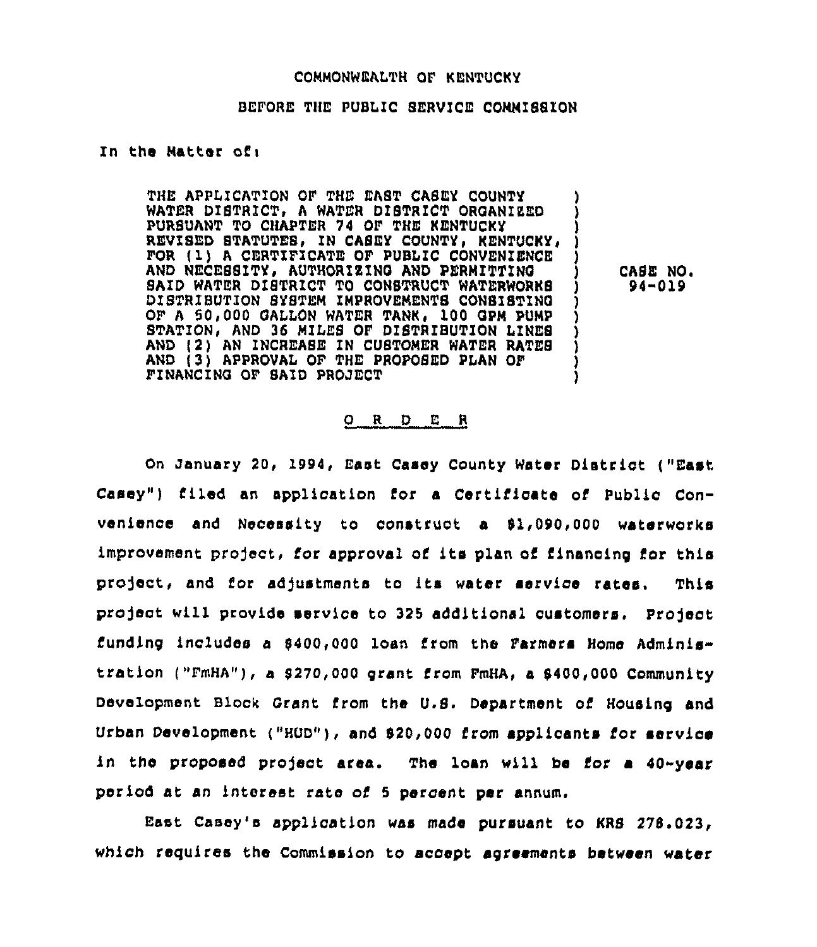## COMMONWEALTH OF KENTUCKY

## BEFORE THE PUBLIC SERVICE COMMISSION

## In the Matter ofi

THE APPLICATION OF THE EAST CASEY COUNTY WATER DISTRICT, A WATER DISTRICT ORGANIZED PURSUANT TO CHAPTER 74 OF THE KENTUCKY REVISED STATUTES, IN CASEY COUNTY, KENTUCKY, FOR (1) A CERTIFICATE OF PUBLIC CONVENIENCE AND NECESSITY, AUTHORIZING AND PERMITTING SAID WATER DISTRICT TO CONSTRUCT WATERWORKS DISTRIBUTION SYSTEM IMPROVEMENTS CONSISTINQ ) OF A 50,000 GALLON WATER TANK, 100 GPM PUMP STATION, AND 36 MILES OF DISTRIBUTION LINES AND (2) AN INCREASE ZN CUSTOMER WATER RATES ) AND (3) APPROVAL OF THE PROPOSED PLAN OF ) FINANCINQ OF SAID PROJECT )

CASE NO. 94"019

#### 0 <sup>R</sup> <sup>D</sup> E <sup>R</sup>

On January 20, 1994, East Casey County Water District ("East Casey") filed an application for a Certificate of Public Convenience and Necessity to construct a 91,090,000 waterworks improvement project, for approval of its plan of financing for this project, and for adjustments to its water service rates. This project will provide service to 325 additional customers. Project funding includes a \$400,000 loan from the Farmers Home Adminis tration ("FmHA"), a 9270,000 grant from FmHA, a 9400,000 Community Development Block Grant from the U.B. Department of Housing and Urban Development ("HUD"), and 920,000 from applicants for service in the proposed project area. The loan will be for a 40-year period at an interest rate of <sup>5</sup> percent per annum.

East Casey's application was made pursuant to KRS 278.023, which requires the Commission to accept agreements between water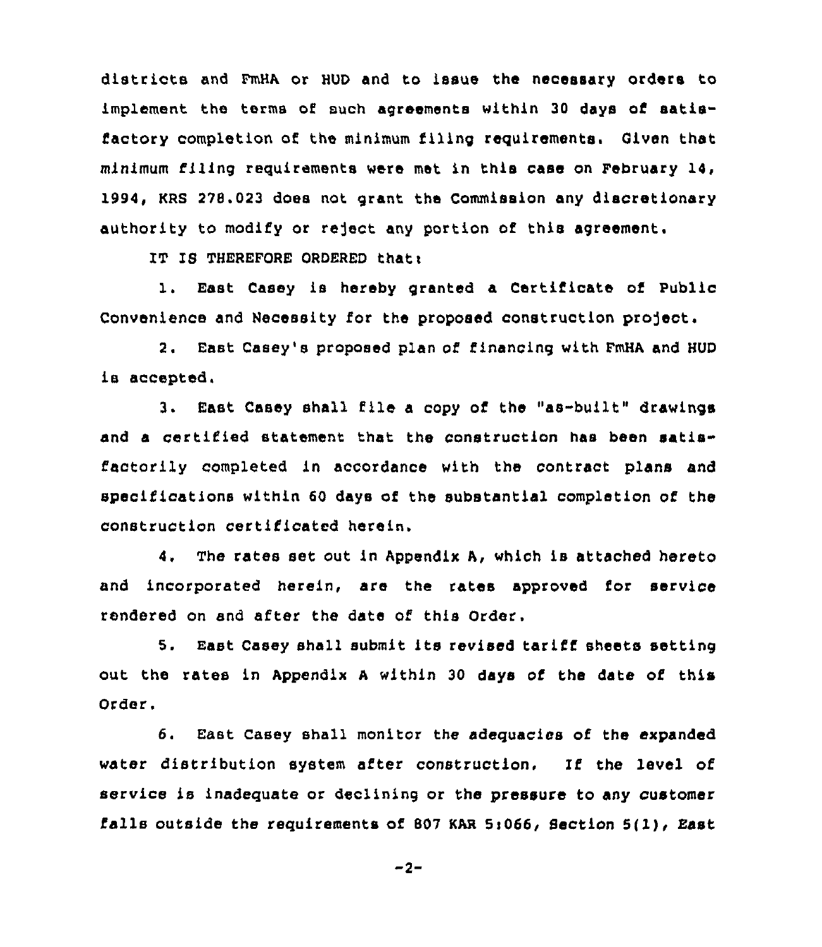districts and FmHA or HUD and to issue the necessary orders to implement the terms of such agreements within 30 days of satisfactory completion of the minimum filing requirements. Given that minimum filing requirements were met in this case on February 14, 1994, KRS 278.023 does not grant the Commission any discretionary authority to modify or reject any portion of this agreement.

IT IS THEREFORE ORDERED that:

1. East Casey is hereby granted a Certificate of Public Convenience and Necessity for the proposed construction project.

2. East Casey's proposed plan of financing with FmHA and HUD is accepted.

3. East Casey shall file a copy of the "as-built" drawings and a certified statement that the construction has been satisfactorily completed in accordance with the contract plans and specifications within 60 days of the substantial completion of the construction certificated herein.

4, The rates set out in Appendix A, which is attached hereto and incorporated herein, are the rates approved for service rendered on and after the date of this Order.

5. East Casey shall submit its revised tariff sheets setting out the rates in Appendix <sup>A</sup> within 30 days of the date of this Order.

6. East Casey shall monitor the adequacies of the expanded water distribution system after construction, If the level of service is inadequate or declining or the pressure to any customer falls outside the requirements of <sup>807</sup> KAR Si066, Section 5(1), East

 $-2-$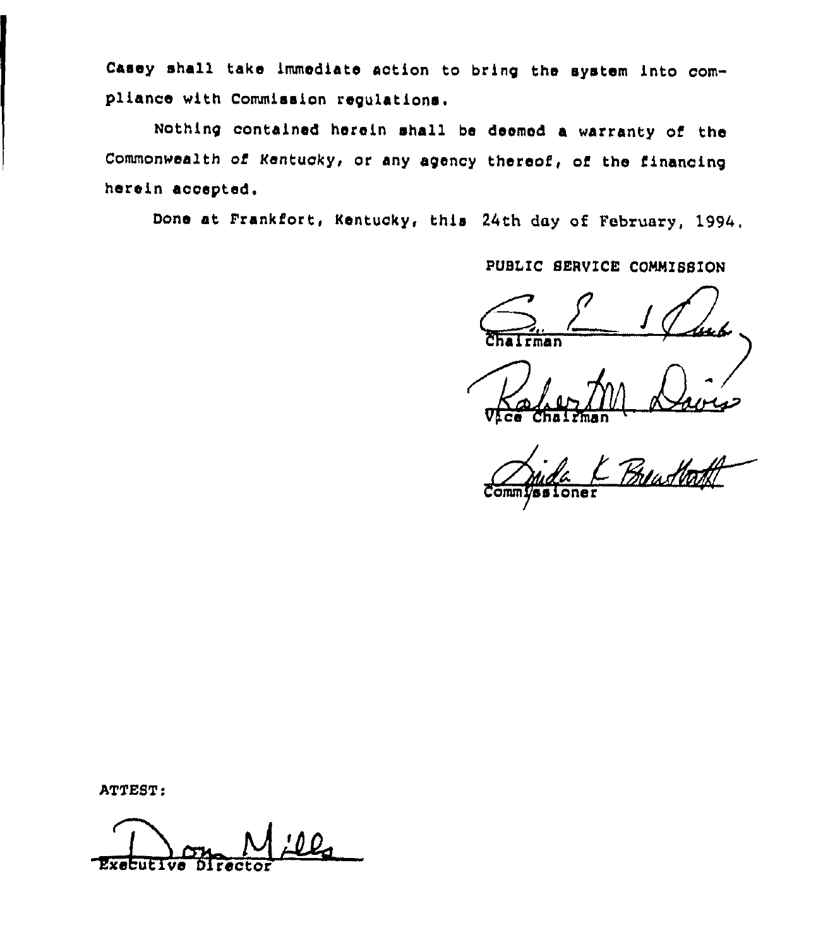Casey shall take immediate action to bring the system into compliance with Commission regulations.

Nothing contained herein shall be deemed a warranty of the Commonwealth of Kentucky, or any agency thereof, of the financing herein acoepted.

Done at Frankfort, Kentucky, this 24th day of February, 1994.

PUBLIC SERVICE CONNISSION

rman

V<sub>i</sub>ce Chairma

Kalen M Davis<br>Chalenan Buastort

ATTEST:

**Executive**